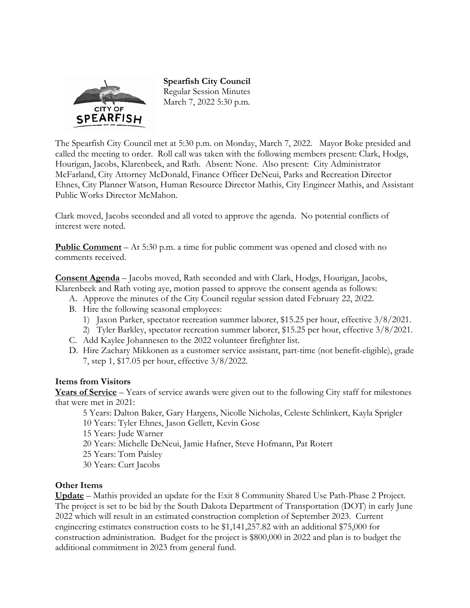

**Spearfish City Council**  Regular Session Minutes March 7, 2022 5:30 p.m.

The Spearfish City Council met at 5:30 p.m. on Monday, March 7, 2022. Mayor Boke presided and called the meeting to order. Roll call was taken with the following members present: Clark, Hodgs, Hourigan, Jacobs, Klarenbeek, and Rath. Absent: None. Also present: City Administrator McFarland, City Attorney McDonald, Finance Officer DeNeui, Parks and Recreation Director Ehnes, City Planner Watson, Human Resource Director Mathis, City Engineer Mathis, and Assistant Public Works Director McMahon.

Clark moved, Jacobs seconded and all voted to approve the agenda. No potential conflicts of interest were noted.

**Public Comment** – At 5:30 p.m. a time for public comment was opened and closed with no comments received.

**Consent Agenda** – Jacobs moved, Rath seconded and with Clark, Hodgs, Hourigan, Jacobs, Klarenbeek and Rath voting aye, motion passed to approve the consent agenda as follows:

- A. Approve the minutes of the City Council regular session dated February 22, 2022.
- B. Hire the following seasonal employees:
	- 1) Jaxon Parker, spectator recreation summer laborer, \$15.25 per hour, effective 3/8/2021.
	- 2) Tyler Barkley, spectator recreation summer laborer, \$15.25 per hour, effective 3/8/2021.
- C. Add Kaylee Johannesen to the 2022 volunteer firefighter list.
- D. Hire Zachary Mikkonen as a customer service assistant, part-time (not benefit-eligible), grade 7, step 1, \$17.05 per hour, effective 3/8/2022.

## **Items from Visitors**

**Years of Service** – Years of service awards were given out to the following City staff for milestones that were met in 2021:

5 Years: Dalton Baker, Gary Hargens, Nicolle Nicholas, Celeste Schlinkert, Kayla Sprigler

- 10 Years: Tyler Ehnes, Jason Gellett, Kevin Gose
- 15 Years: Jude Warner
- 20 Years: Michelle DeNeui, Jamie Hafner, Steve Hofmann, Pat Rotert
- 25 Years: Tom Paisley
- 30 Years: Curt Jacobs

## **Other Items**

**Update** – Mathis provided an update for the Exit 8 Community Shared Use Path-Phase 2 Project. The project is set to be bid by the South Dakota Department of Transportation (DOT) in early June 2022 which will result in an estimated construction completion of September 2023. Current engineering estimates construction costs to be \$1,141,257.82 with an additional \$75,000 for construction administration. Budget for the project is \$800,000 in 2022 and plan is to budget the additional commitment in 2023 from general fund.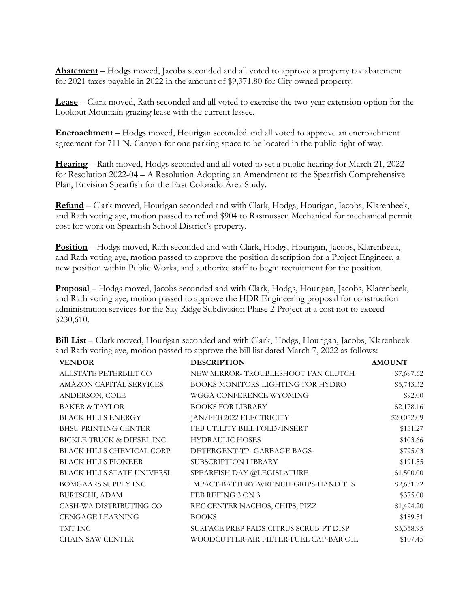**Abatement** – Hodgs moved, Jacobs seconded and all voted to approve a property tax abatement for 2021 taxes payable in 2022 in the amount of \$9,371.80 for City owned property.

**Lease** – Clark moved, Rath seconded and all voted to exercise the two-year extension option for the Lookout Mountain grazing lease with the current lessee.

**Encroachment** – Hodgs moved, Hourigan seconded and all voted to approve an encroachment agreement for 711 N. Canyon for one parking space to be located in the public right of way.

**Hearing** – Rath moved, Hodgs seconded and all voted to set a public hearing for March 21, 2022 for Resolution 2022-04 – A Resolution Adopting an Amendment to the Spearfish Comprehensive Plan, Envision Spearfish for the East Colorado Area Study.

**Refund** – Clark moved, Hourigan seconded and with Clark, Hodgs, Hourigan, Jacobs, Klarenbeek, and Rath voting aye, motion passed to refund \$904 to Rasmussen Mechanical for mechanical permit cost for work on Spearfish School District's property.

**Position** – Hodgs moved, Rath seconded and with Clark, Hodgs, Hourigan, Jacobs, Klarenbeek, and Rath voting aye, motion passed to approve the position description for a Project Engineer, a new position within Public Works, and authorize staff to begin recruitment for the position.

**Proposal** – Hodgs moved, Jacobs seconded and with Clark, Hodgs, Hourigan, Jacobs, Klarenbeek, and Rath voting aye, motion passed to approve the HDR Engineering proposal for construction administration services for the Sky Ridge Subdivision Phase 2 Project at a cost not to exceed \$230,610.

| <b>VENDOR</b>                     | <b>DESCRIPTION</b>                     | <b>AMOUNT</b> |
|-----------------------------------|----------------------------------------|---------------|
| ALLSTATE PETERBILT CO             | NEW MIRROR-TROUBLESHOOT FAN CLUTCH     | \$7,697.62    |
| <b>AMAZON CAPITAL SERVICES</b>    | BOOKS-MONITORS-LIGHTING FOR HYDRO      | \$5,743.32    |
| ANDERSON, COLE                    | WGGA CONFERENCE WYOMING                | \$92.00       |
| <b>BAKER &amp; TAYLOR</b>         | <b>BOOKS FOR LIBRARY</b>               | \$2,178.16    |
| <b>BLACK HILLS ENERGY</b>         | JAN/FEB 2022 ELECTRICITY               | \$20,052.09   |
| <b>BHSU PRINTING CENTER</b>       | FEB UTILITY BILL FOLD/INSERT           | \$151.27      |
| BICKLE TRUCK & DIESEL INC         | <b>HYDRAULIC HOSES</b>                 | \$103.66      |
| <b>BLACK HILLS CHEMICAL CORP</b>  | DETERGENT-TP- GARBAGE BAGS-            | \$795.03      |
| <b>BLACK HILLS PIONEER</b>        | SUBSCRIPTION LIBRARY                   | \$191.55      |
| <b>BLACK HILLS STATE UNIVERSI</b> | SPEARFISH DAY @LEGISLATURE             | \$1,500.00    |
| <b>BOMGAARS SUPPLY INC</b>        | IMPACT-BATTERY-WRENCH-GRIPS-HAND TLS   | \$2,631.72    |
| BURTSCHI, ADAM                    | FEB REFING 3 ON 3                      | \$375.00      |
| CASH-WA DISTRIBUTING CO           | REC CENTER NACHOS, CHIPS, PIZZ         | \$1,494.20    |
| <b>CENGAGE LEARNING</b>           | <b>BOOKS</b>                           | \$189.51      |
| TMT INC                           | SURFACE PREP PADS-CITRUS SCRUB-PT DISP | \$3,358.95    |
| <b>CHAIN SAW CENTER</b>           | WOODCUTTER-AIR FILTER-FUEL CAP-BAR OIL | \$107.45      |

**Bill List** – Clark moved, Hourigan seconded and with Clark, Hodgs, Hourigan, Jacobs, Klarenbeek and Rath voting aye, motion passed to approve the bill list dated March 7, 2022 as follows: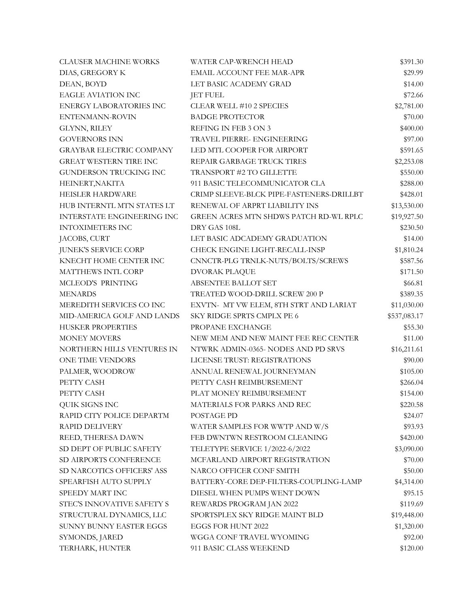| <b>CLAUSER MACHINE WORKS</b>    | WATER CAP-WRENCH HEAD                    | \$391.30     |
|---------------------------------|------------------------------------------|--------------|
| DIAS, GREGORY K                 | EMAIL ACCOUNT FEE MAR-APR                | \$29.99      |
| DEAN, BOYD                      | LET BASIC ACADEMY GRAD                   | \$14.00      |
| <b>EAGLE AVIATION INC</b>       | <b>JET FUEL</b>                          | \$72.66      |
| <b>ENERGY LABORATORIES INC</b>  | CLEAR WELL #10 2 SPECIES                 | \$2,781.00   |
| ENTENMANN-ROVIN                 | <b>BADGE PROTECTOR</b>                   | \$70.00      |
| GLYNN, RILEY                    | REFING IN FEB 3 ON 3                     | \$400.00     |
| <b>GOVERNORS INN</b>            | TRAVEL PIERRE- ENGINEERING               | \$97.00      |
| <b>GRAYBAR ELECTRIC COMPANY</b> | LED MTL COOPER FOR AIRPORT               | \$591.65     |
| <b>GREAT WESTERN TIRE INC</b>   | REPAIR GARBAGE TRUCK TIRES               | \$2,253.08   |
| GUNDERSON TRUCKING INC          | TRANSPORT #2 TO GILLETTE                 | \$550.00     |
| HEINERT, NAKITA                 | 911 BASIC TELECOMMUNICATOR CLA           | \$288.00     |
| HEISLER HARDWARE                | CRIMP SLEEVE-BLCK PIPE-FASTENERS-DRILLBT | \$428.01     |
| HUB INTERNTL MTN STATES LT      | RENEWAL OF ARPRT LIABILITY INS           | \$13,530.00  |
| INTERSTATE ENGINEERING INC      | GREEN ACRES MTN SHDWS PATCH RD-WL RPLC   | \$19,927.50  |
| <b>INTOXIMETERS INC</b>         | DRY GAS 108L                             | \$230.50     |
| JACOBS, CURT                    | LET BASIC ADCADEMY GRADUATION            | \$14.00      |
| <b>JUNEK'S SERVICE CORP</b>     | CHECK ENGINE LIGHT-RECALL-INSP           | \$1,810.24   |
| KNECHT HOME CENTER INC          | CNNCTR-PLG TRNLK-NUTS/BOLTS/SCREWS       | \$587.56     |
| MATTHEWS INTL CORP              | <b>DVORAK PLAQUE</b>                     | \$171.50     |
| MCLEOD'S PRINTING               | ABSENTEE BALLOT SET                      | \$66.81      |
| <b>MENARDS</b>                  | TREATED WOOD-DRILL SCREW 200 P           | \$389.35     |
| MEREDITH SERVICES CO INC        | EXVTN- MT VW ELEM, 8TH STRT AND LARIAT   | \$11,030.00  |
| MID-AMERICA GOLF AND LANDS      | SKY RIDGE SPRTS CMPLX PE 6               | \$537,083.17 |
| HUSKER PROPERTIES               | PROPANE EXCHANGE                         | \$55.30      |
| <b>MONEY MOVERS</b>             | NEW MEM AND NEW MAINT FEE REC CENTER     | \$11.00      |
| NORTHERN HILLS VENTURES IN      | NTWRK ADMIN-0365- NODES AND PD SRVS      | \$16,211.61  |
| ONE TIME VENDORS                | LICENSE TRUST: REGISTRATIONS             | \$90.00      |
| PALMER, WOODROW                 | ANNUAL RENEWAL JOURNEYMAN                | \$105.00     |
| PETTY CASH                      | PETTY CASH REIMBURSEMENT                 | \$266.04     |
| PETTY CASH                      | PLAT MONEY REIMBURSEMENT                 | \$154.00     |
| QUIK SIGNS INC                  | MATERIALS FOR PARKS AND REC              | \$220.58     |
| RAPID CITY POLICE DEPARTM       | POSTAGE PD                               | \$24.07      |
| <b>RAPID DELIVERY</b>           | WATER SAMPLES FOR WWTP AND W/S           | \$93.93      |
| REED, THERESA DAWN              | FEB DWNTWN RESTROOM CLEANING             | \$420.00     |
| SD DEPT OF PUBLIC SAFETY        | TELETYPE SERVICE 1/2022-6/2022           | \$3,090.00   |
| SD AIRPORTS CONFERENCE          | MCFARLAND AIRPORT REGISTRATION           | \$70.00      |
| SD NARCOTICS OFFICERS' ASS      | NARCO OFFICER CONF SMITH                 | \$50.00      |
| SPEARFISH AUTO SUPPLY           | BATTERY-CORE DEP-FILTERS-COUPLING-LAMP   | \$4,314.00   |
| SPEEDY MART INC                 | DIESEL WHEN PUMPS WENT DOWN              | \$95.15      |
| STEC'S INNOVATIVE SAFETY S      | REWARDS PROGRAM JAN 2022                 | \$119.69     |
| STRUCTURAL DYNAMICS, LLC        | SPORTSPLEX SKY RIDGE MAINT BLD           | \$19,448.00  |
| SUNNY BUNNY EASTER EGGS         | EGGS FOR HUNT 2022                       | \$1,320.00   |
| SYMONDS, JARED                  | WGGA CONF TRAVEL WYOMING                 | \$92.00      |
| TERHARK, HUNTER                 | 911 BASIC CLASS WEEKEND                  | \$120.00     |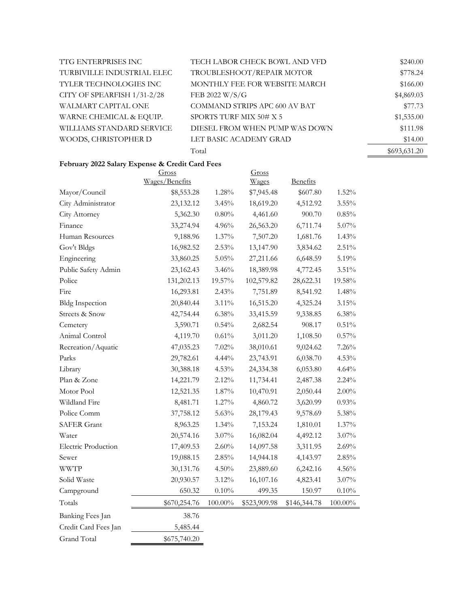| TTG ENTERPRISES INC         | TECH LABOR CHECK BOWL AND VFD  | \$240.00     |
|-----------------------------|--------------------------------|--------------|
| TURBIVILLE INDUSTRIAL ELEC  | TROUBLESHOOT/REPAIR MOTOR      | \$778.24     |
| TYLER TECHNOLOGIES INC      | MONTHLY FEE FOR WEBSITE MARCH  | \$166.00     |
| CITY OF SPEARFISH 1/31-2/28 | FEB 2022 W/S/G                 | \$4,869.03   |
| WALMART CAPITAL ONE         | COMMAND STRIPS APC 600 AV BAT  | \$77.73      |
| WARNE CHEMICAL & EQUIP.     | SPORTS TURF MIX 50# X 5        | \$1,535.00   |
| WILLIAMS STANDARD SERVICE   | DIESEL FROM WHEN PUMP WAS DOWN | \$111.98     |
| WOODS, CHRISTOPHER D        | LET BASIC ACADEMY GRAD         | \$14.00      |
|                             | Total                          | \$693,631.20 |

## **February 2022 Salary Expense & Credit Card Fees**

|                            | Gross<br>Wages/Benefits |            | Gross<br>Wages | <b>Benefits</b> |            |
|----------------------------|-------------------------|------------|----------------|-----------------|------------|
| Mayor/Council              | \$8,553.28              | 1.28%      | \$7,945.48     | \$607.80        | 1.52%      |
| City Administrator         | 23,132.12               | 3.45%      | 18,619.20      | 4,512.92        | $3.55\%$   |
| City Attorney              | 5,362.30                | $0.80\%$   | 4,461.60       | 900.70          | 0.85%      |
| Finance                    | 33,274.94               | 4.96%      | 26,563.20      | 6,711.74        | $5.07\%$   |
| Human Resources            | 9,188.96                | 1.37%      | 7,507.20       | 1,681.76        | 1.43%      |
| Gov't Bldgs                | 16,982.52               | 2.53%      | 13,147.90      | 3,834.62        | 2.51%      |
| Engineering                | 33,860.25               | 5.05%      | 27,211.66      | 6,648.59        | 5.19%      |
| Public Safety Admin        | 23,162.43               | 3.46%      | 18,389.98      | 4,772.45        | 3.51%      |
| Police                     | 131,202.13              | 19.57%     | 102,579.82     | 28,622.31       | 19.58%     |
| Fire                       | 16,293.81               | 2.43%      | 7,751.89       | 8,541.92        | 1.48%      |
| <b>Bldg Inspection</b>     | 20,840.44               | 3.11%      | 16,515.20      | 4,325.24        | 3.15%      |
| Streets & Snow             | 42,754.44               | 6.38%      | 33,415.59      | 9,338.85        | 6.38%      |
| Cemetery                   | 3,590.71                | 0.54%      | 2,682.54       | 908.17          | 0.51%      |
| Animal Control             | 4,119.70                | $0.61\%$   | 3,011.20       | 1,108.50        | 0.57%      |
| Recreation/Aquatic         | 47,035.23               | 7.02%      | 38,010.61      | 9,024.62        | 7.26%      |
| Parks                      | 29,782.61               | 4.44%      | 23,743.91      | 6,038.70        | 4.53%      |
| Library                    | 30,388.18               | $4.53\%$   | 24,334.38      | 6,053.80        | 4.64%      |
| Plan & Zone                | 14,221.79               | 2.12%      | 11,734.41      | 2,487.38        | 2.24%      |
| Motor Pool                 | 12,521.35               | 1.87%      | 10,470.91      | 2,050.44        | $2.00\%$   |
| Wildland Fire              | 8,481.71                | 1.27%      | 4,860.72       | 3,620.99        | 0.93%      |
| Police Comm                | 37,758.12               | 5.63%      | 28,179.43      | 9,578.69        | $5.38\%$   |
| <b>SAFER Grant</b>         | 8,963.25                | 1.34%      | 7,153.24       | 1,810.01        | 1.37%      |
| Water                      | 20,574.16               | $3.07\%$   | 16,082.04      | 4,492.12        | $3.07\%$   |
| <b>Electric Production</b> | 17,409.53               | 2.60%      | 14,097.58      | 3,311.95        | 2.69%      |
| Sewer                      | 19,088.15               | 2.85%      | 14,944.18      | 4,143.97        | 2.85%      |
| <b>WWTP</b>                | 30,131.76               | 4.50%      | 23,889.60      | 6,242.16        | 4.56%      |
| Solid Waste                | 20,930.57               | 3.12%      | 16,107.16      | 4,823.41        | $3.07\%$   |
| Campground                 | 650.32                  | $0.10\%$   | 499.35         | 150.97          | $0.10\%$   |
| Totals                     | \$670,254.76            | $100.00\%$ | \$523,909.98   | \$146,344.78    | $100.00\%$ |
| Banking Fees Jan           | 38.76                   |            |                |                 |            |
| Credit Card Fees Jan       | 5,485.44                |            |                |                 |            |
| <b>Grand Total</b>         | \$675,740.20            |            |                |                 |            |